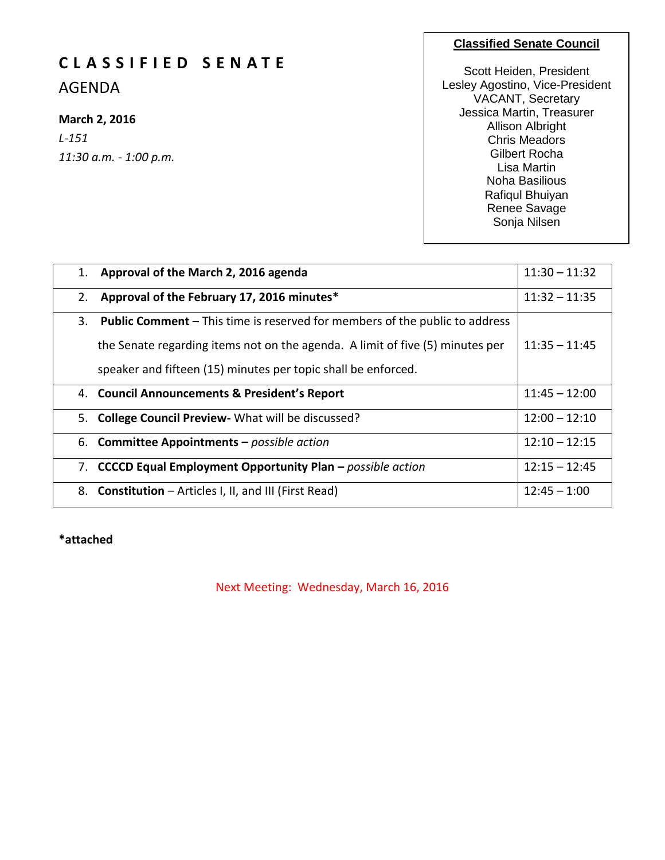# **C L A S S I F I E D S E N A T E**

AGENDA

# **March 2, 2016**

*L-151 11:30 a.m. - 1:00 p.m.*

#### **Classified Senate Council**

Scott Heiden, President Lesley Agostino, Vice-President VACANT, Secretary Jessica Martin, Treasurer Allison Albright Chris Meadors Gilbert Rocha Lisa Martin Noha Basilious Rafiqul Bhuiyan Renee Savage Sonja Nilsen

| 1. | Approval of the March 2, 2016 agenda                                               | $11:30 - 11:32$ |
|----|------------------------------------------------------------------------------------|-----------------|
| 2. | Approval of the February 17, 2016 minutes*                                         | $11:32 - 11:35$ |
| 3. | <b>Public Comment</b> – This time is reserved for members of the public to address |                 |
|    | the Senate regarding items not on the agenda. A limit of five (5) minutes per      | $11:35 - 11:45$ |
|    | speaker and fifteen (15) minutes per topic shall be enforced.                      |                 |
|    | 4. Council Announcements & President's Report                                      | $11:45 - 12:00$ |
|    | 5. College Council Preview - What will be discussed?                               | $12:00 - 12:10$ |
|    | 6. Committee Appointments - possible action                                        | $12:10 - 12:15$ |
|    | 7. CCCCD Equal Employment Opportunity Plan - possible action                       | $12:15 - 12:45$ |
|    | 8. Constitution – Articles I, II, and III (First Read)                             | $12:45 - 1:00$  |

**\*attached**

Next Meeting: Wednesday, March 16, 2016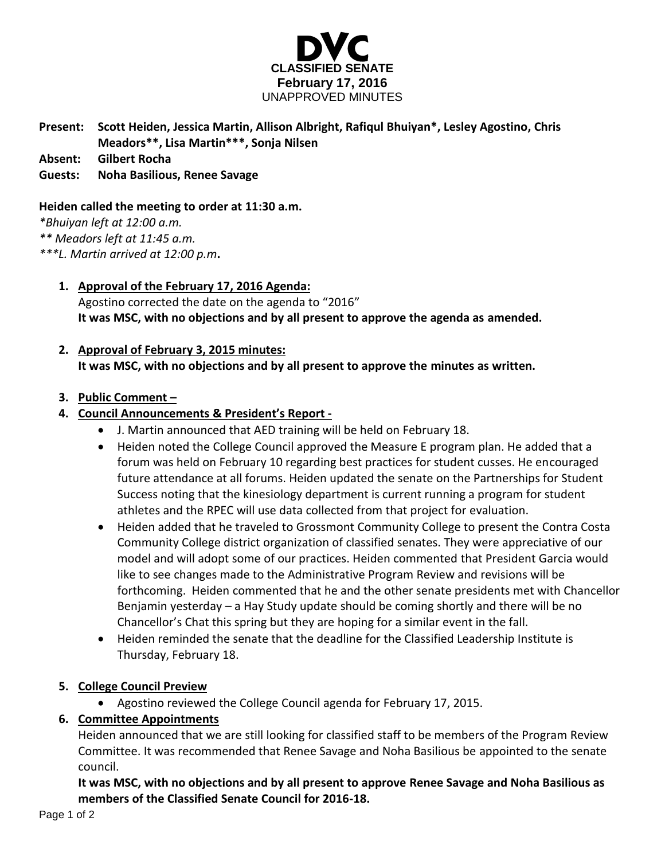

# **Present: Scott Heiden, Jessica Martin, Allison Albright, Rafiqul Bhuiyan\*, Lesley Agostino, Chris Meadors\*\*, Lisa Martin\*\*\*, Sonja Nilsen**

**Absent: Gilbert Rocha**

### **Guests: Noha Basilious, Renee Savage**

#### **Heiden called the meeting to order at 11:30 a.m.**

*\*Bhuiyan left at 12:00 a.m.*

*\*\* Meadors left at 11:45 a.m.*

*\*\*\*L. Martin arrived at 12:00 p.m***.**

## **1. Approval of the February 17, 2016 Agenda:**

Agostino corrected the date on the agenda to "2016" **It was MSC, with no objections and by all present to approve the agenda as amended.**

# **2. Approval of February 3, 2015 minutes: It was MSC, with no objections and by all present to approve the minutes as written.**

#### **3. Public Comment –**

## **4. Council Announcements & President's Report -**

- J. Martin announced that AED training will be held on February 18.
- Heiden noted the College Council approved the Measure E program plan. He added that a forum was held on February 10 regarding best practices for student cusses. He encouraged future attendance at all forums. Heiden updated the senate on the Partnerships for Student Success noting that the kinesiology department is current running a program for student athletes and the RPEC will use data collected from that project for evaluation.
- Heiden added that he traveled to Grossmont Community College to present the Contra Costa Community College district organization of classified senates. They were appreciative of our model and will adopt some of our practices. Heiden commented that President Garcia would like to see changes made to the Administrative Program Review and revisions will be forthcoming. Heiden commented that he and the other senate presidents met with Chancellor Benjamin yesterday – a Hay Study update should be coming shortly and there will be no Chancellor's Chat this spring but they are hoping for a similar event in the fall.
- Heiden reminded the senate that the deadline for the Classified Leadership Institute is Thursday, February 18.

#### **5. College Council Preview**

Agostino reviewed the College Council agenda for February 17, 2015.

# **6. Committee Appointments**

Heiden announced that we are still looking for classified staff to be members of the Program Review Committee. It was recommended that Renee Savage and Noha Basilious be appointed to the senate council.

**It was MSC, with no objections and by all present to approve Renee Savage and Noha Basilious as members of the Classified Senate Council for 2016-18.**